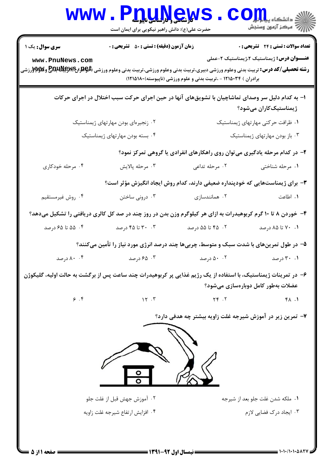| <b>WWW</b>                                                                                                                                                                                                                                                                       | <b>'DUNGWS</b><br>حضرت علی(ع): دانش راهبر نیکویی برای ایمان است                                              |                                                                               | أأآت مركز آزمون وسنجش                      |  |
|----------------------------------------------------------------------------------------------------------------------------------------------------------------------------------------------------------------------------------------------------------------------------------|--------------------------------------------------------------------------------------------------------------|-------------------------------------------------------------------------------|--------------------------------------------|--|
| <b>سری سوال :</b> یک ۱                                                                                                                                                                                                                                                           | <b>زمان آزمون (دقیقه) : تستی : 50 ٪ تشریحی : 0</b>                                                           |                                                                               | <b>تعداد سوالات : تستی : 24 گشریحی : 0</b> |  |
| <b>عنـــوان درس:</b> ژیمناستیک ۲،ژیمناستیک ۲-عملی<br>www.PnuNews.com<br><b>رشته تحصیلی/کد درس:</b> تربیت بدنی وعلوم ورزشی دبیری،تربیت بدنی وعلوم ورزشی،تربیت بدنی وعلوم ورزشی (PAR لیRAR و PAR و WAکیلی<br>د<br>برادران ) ۱۲۱۵۰۳۴ - ،تربیت بدنی و علوم ورزشی (ناپیوسته)۱۸۰(۱۲۱۵) |                                                                                                              |                                                                               |                                            |  |
| ۱– به کدام دلیل سر وصدای تماشاچیان با تشویقهای آنها در حین اجرای حرکت سبب اختلال در اجرای حرکات<br>ژیمناستیککاران میشود؟                                                                                                                                                         |                                                                                                              |                                                                               |                                            |  |
|                                                                                                                                                                                                                                                                                  | ۰۲ زنجیرهای بودن مهارتهای ژیمناستیک                                                                          |                                                                               | ۰۱ ظرافت حرکتی مهارتهای ژیمناستیک          |  |
|                                                                                                                                                                                                                                                                                  | ۴. بسته بودن مهارتهای ژیمناستیک                                                                              |                                                                               | ۰۳ باز بودن مهارتهای ژیمناستیک             |  |
| ۲- در کدام مرحله یادگیری میتوان روی راهکارهای انفرادی یا گروهی تمرکز نمود؟                                                                                                                                                                                                       |                                                                                                              |                                                                               |                                            |  |
| ۰۴ مرحله خودکاری                                                                                                                                                                                                                                                                 | ۰۳ مرحله پالايش                                                                                              | ۰۲ مرحله تداعی                                                                | ۰۱ مرحله شناختی                            |  |
|                                                                                                                                                                                                                                                                                  |                                                                                                              | ۳- برای ژیمناستهایی که خودپنداره ضعیفی دارند، کدام روش ایجاد انگیزش مؤثر است؟ |                                            |  |
| ۰۴ روش غیرمستقیم                                                                                                                                                                                                                                                                 | ۰۳ درونی ساختن                                                                                               | ۰۲ همانندسازی                                                                 | ۰۱ اطاعت                                   |  |
|                                                                                                                                                                                                                                                                                  | ۴- خوردن ۸ تا ۱۰ گرم کربوهیدرات به ازای هر کیلوگرم وزن بدن در روز چند در صد کل کالری دریافتی را تشکیل میدهد؟ |                                                                               |                                            |  |
| ۰۴ ه تا ۶۵ درصد                                                                                                                                                                                                                                                                  | ۰۳ تا ۴۵ درصد                                                                                                | ۰۲ ـ ۴۵ تا ۵۵ درصد                                                            | ۰۱ . ۷۰ تا ۸۵ درصد                         |  |
| ۵– در طول تمرینهای با شدت سبک و متوسط، چربیها چند درصد انرژی مورد نیاز را تأمین میکنند؟                                                                                                                                                                                          |                                                                                                              |                                                                               |                                            |  |
| ۰۰ ۸۰ درصد                                                                                                                                                                                                                                                                       | ۶۵ ۰۳ درصد                                                                                                   | ۰۹ درصد <b>۲۰۰۰ درصد</b> ۵۰۰۲ درصد                                            |                                            |  |
| ۶– در تمرینات ژیمناستیک، با استفاده از یک رژیم غذایی پر کربوهیدرات چند ساعت پس از برگشت به حالت اولیه، گلیکوژن<br>عضلات بەطور كامل دوبارەسازى مىشود؟                                                                                                                             |                                                                                                              |                                                                               |                                            |  |
| 9.9                                                                                                                                                                                                                                                                              | 15.7                                                                                                         | $YY \cdot Y$                                                                  | FA.1                                       |  |
| ۷- تمرین زیر در آموزش شیرجه غلت زاویه بیشتر چه هدفی دارد؟<br>۰۲ آموزش جهش قبل از غلت جلو<br>۰۱ ملکه شدن غلت جلو بعد از شیرجه<br>۰۳ ایجاد درک فضایی لازم<br>۰۴ افزایش ارتفاع شیرجه غلت زاویه                                                                                      |                                                                                                              |                                                                               |                                            |  |
|                                                                                                                                                                                                                                                                                  |                                                                                                              |                                                                               |                                            |  |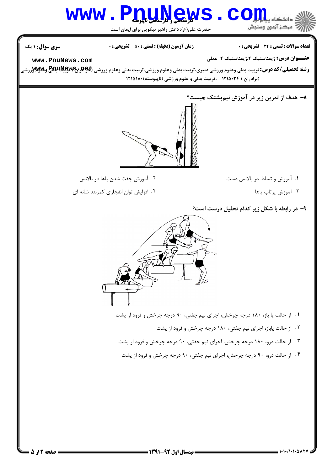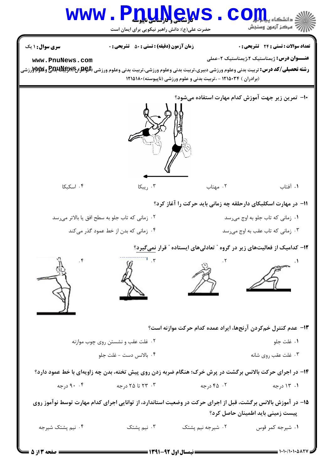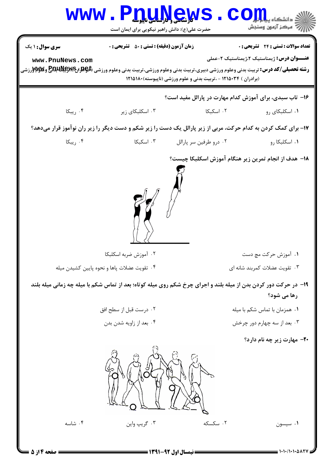